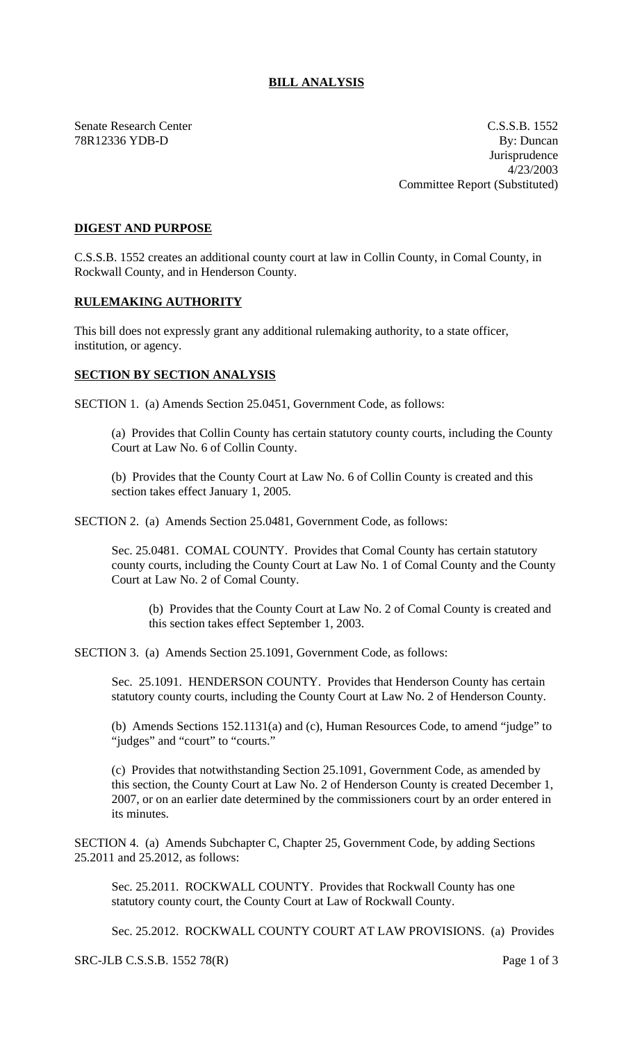## **BILL ANALYSIS**

Senate Research Center C.S.S.B. 1552 78R12336 YDB-D By: Duncan Jurisprudence 4/23/2003 Committee Report (Substituted)

## **DIGEST AND PURPOSE**

C.S.S.B. 1552 creates an additional county court at law in Collin County, in Comal County, in Rockwall County, and in Henderson County.

## **RULEMAKING AUTHORITY**

This bill does not expressly grant any additional rulemaking authority, to a state officer, institution, or agency.

## **SECTION BY SECTION ANALYSIS**

SECTION 1. (a) Amends Section 25.0451, Government Code, as follows:

(a) Provides that Collin County has certain statutory county courts, including the County Court at Law No. 6 of Collin County.

(b) Provides that the County Court at Law No. 6 of Collin County is created and this section takes effect January 1, 2005.

SECTION 2. (a) Amends Section 25.0481, Government Code, as follows:

Sec. 25.0481. COMAL COUNTY. Provides that Comal County has certain statutory county courts, including the County Court at Law No. 1 of Comal County and the County Court at Law No. 2 of Comal County.

(b) Provides that the County Court at Law No. 2 of Comal County is created and this section takes effect September 1, 2003.

SECTION 3. (a) Amends Section 25.1091, Government Code, as follows:

Sec. 25.1091. HENDERSON COUNTY. Provides that Henderson County has certain statutory county courts, including the County Court at Law No. 2 of Henderson County.

(b) Amends Sections 152.1131(a) and (c), Human Resources Code, to amend "judge" to "judges" and "court" to "courts."

(c) Provides that notwithstanding Section 25.1091, Government Code, as amended by this section, the County Court at Law No. 2 of Henderson County is created December 1, 2007, or on an earlier date determined by the commissioners court by an order entered in its minutes.

SECTION 4. (a) Amends Subchapter C, Chapter 25, Government Code, by adding Sections 25.2011 and 25.2012, as follows:

Sec. 25.2011. ROCKWALL COUNTY. Provides that Rockwall County has one statutory county court, the County Court at Law of Rockwall County.

Sec. 25.2012. ROCKWALL COUNTY COURT AT LAW PROVISIONS. (a) Provides

SRC-JLB C.S.S.B. 1552 78(R) Page 1 of 3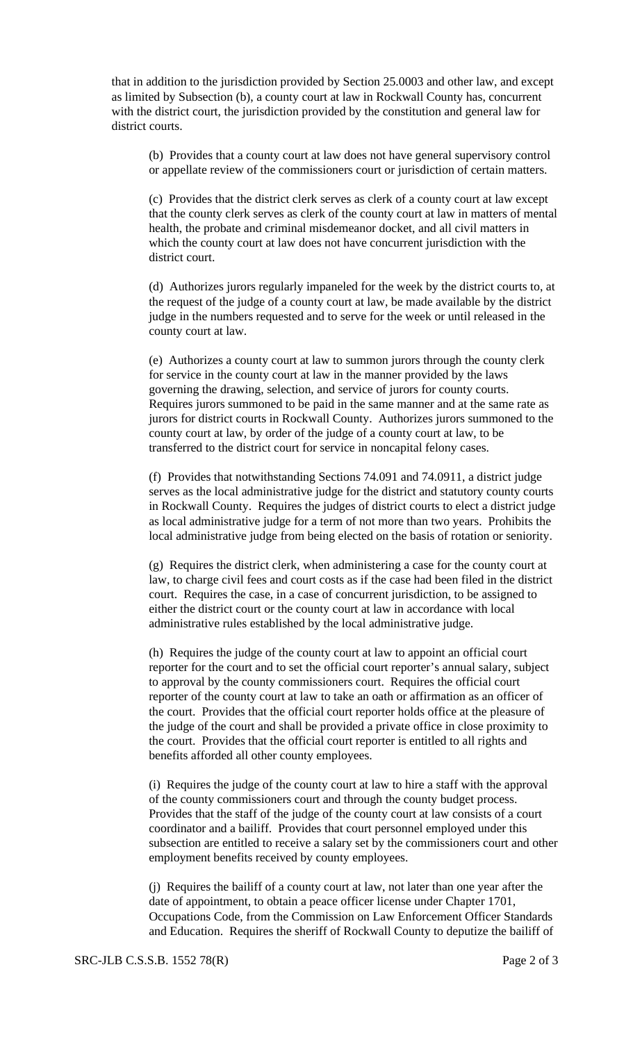that in addition to the jurisdiction provided by Section 25.0003 and other law, and except as limited by Subsection (b), a county court at law in Rockwall County has, concurrent with the district court, the jurisdiction provided by the constitution and general law for district courts.

(b) Provides that a county court at law does not have general supervisory control or appellate review of the commissioners court or jurisdiction of certain matters.

(c) Provides that the district clerk serves as clerk of a county court at law except that the county clerk serves as clerk of the county court at law in matters of mental health, the probate and criminal misdemeanor docket, and all civil matters in which the county court at law does not have concurrent jurisdiction with the district court.

(d) Authorizes jurors regularly impaneled for the week by the district courts to, at the request of the judge of a county court at law, be made available by the district judge in the numbers requested and to serve for the week or until released in the county court at law.

(e) Authorizes a county court at law to summon jurors through the county clerk for service in the county court at law in the manner provided by the laws governing the drawing, selection, and service of jurors for county courts. Requires jurors summoned to be paid in the same manner and at the same rate as jurors for district courts in Rockwall County. Authorizes jurors summoned to the county court at law, by order of the judge of a county court at law, to be transferred to the district court for service in noncapital felony cases.

(f) Provides that notwithstanding Sections 74.091 and 74.0911, a district judge serves as the local administrative judge for the district and statutory county courts in Rockwall County. Requires the judges of district courts to elect a district judge as local administrative judge for a term of not more than two years. Prohibits the local administrative judge from being elected on the basis of rotation or seniority.

(g) Requires the district clerk, when administering a case for the county court at law, to charge civil fees and court costs as if the case had been filed in the district court. Requires the case, in a case of concurrent jurisdiction, to be assigned to either the district court or the county court at law in accordance with local administrative rules established by the local administrative judge.

(h) Requires the judge of the county court at law to appoint an official court reporter for the court and to set the official court reporter's annual salary, subject to approval by the county commissioners court. Requires the official court reporter of the county court at law to take an oath or affirmation as an officer of the court. Provides that the official court reporter holds office at the pleasure of the judge of the court and shall be provided a private office in close proximity to the court. Provides that the official court reporter is entitled to all rights and benefits afforded all other county employees.

(i) Requires the judge of the county court at law to hire a staff with the approval of the county commissioners court and through the county budget process. Provides that the staff of the judge of the county court at law consists of a court coordinator and a bailiff. Provides that court personnel employed under this subsection are entitled to receive a salary set by the commissioners court and other employment benefits received by county employees.

(j) Requires the bailiff of a county court at law, not later than one year after the date of appointment, to obtain a peace officer license under Chapter 1701, Occupations Code, from the Commission on Law Enforcement Officer Standards and Education. Requires the sheriff of Rockwall County to deputize the bailiff of